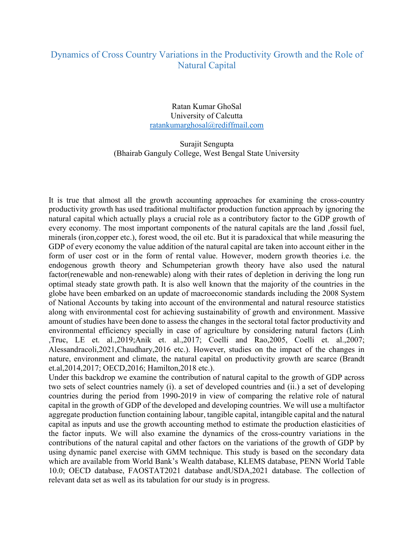## Dynamics of Cross Country Variations in the Productivity Growth and the Role of Natural Capital

Ratan Kumar GhoSal University of Calcutta ratankumarghosal@rediffmail.com

Surajit Sengupta (Bhairab Ganguly College, West Bengal State University

It is true that almost all the growth accounting approaches for examining the cross-country productivity growth has used traditional multifactor production function approach by ignoring the natural capital which actually plays a crucial role as a contributory factor to the GDP growth of every economy. The most important components of the natural capitals are the land ,fossil fuel, minerals (iron,copper etc.), forest wood, the oil etc. But it is paradoxical that while measuring the GDP of every economy the value addition of the natural capital are taken into account either in the form of user cost or in the form of rental value. However, modern growth theories i.e. the endogenous growth theory and Schumpeterian growth theory have also used the natural factor(renewable and non-renewable) along with their rates of depletion in deriving the long run optimal steady state growth path. It is also well known that the majority of the countries in the globe have been embarked on an update of macroeconomic standards including the 2008 System of National Accounts by taking into account of the environmental and natural resource statistics along with environmental cost for achieving sustainability of growth and environment. Massive amount of studies have been done to assess the changes in the sectoral total factor productivity and environmental efficiency specially in case of agriculture by considering natural factors (Linh ,Truc, LE et. al.,2019;Anik et. al.,2017; Coelli and Rao,2005, Coelli et. al.,2007; Alessandracoli,2021,Chaudhary,2016 etc.). However, studies on the impact of the changes in nature, environment and climate, the natural capital on productivity growth are scarce (Brandt et.al,2014,2017; OECD,2016; Hamilton,2018 etc.).

Under this backdrop we examine the contribution of natural capital to the growth of GDP across two sets of select countries namely (i). a set of developed countries and (ii.) a set of developing countries during the period from 1990-2019 in view of comparing the relative role of natural capital in the growth of GDP of the developed and developing countries. We will use a multifactor aggregate production function containing labour, tangible capital, intangible capital and the natural capital as inputs and use the growth accounting method to estimate the production elasticities of the factor inputs. We will also examine the dynamics of the cross-country variations in the contributions of the natural capital and other factors on the variations of the growth of GDP by using dynamic panel exercise with GMM technique. This study is based on the secondary data which are available from World Bank's Wealth database, KLEMS database, PENN World Table 10.0; OECD database, FAOSTAT2021 database andUSDA,2021 database. The collection of relevant data set as well as its tabulation for our study is in progress.